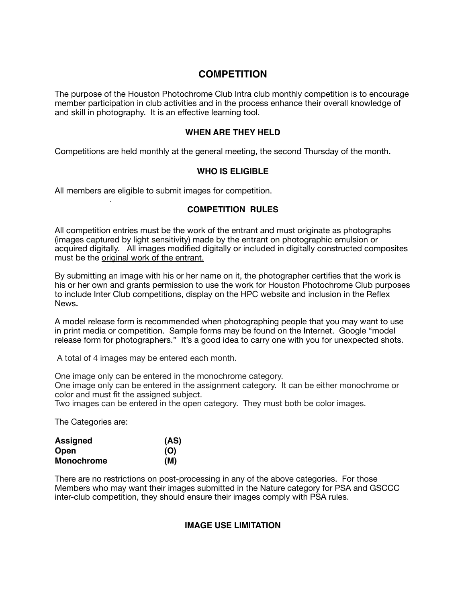# **COMPETITION**

The purpose of the Houston Photochrome Club Intra club monthly competition is to encourage member participation in club activities and in the process enhance their overall knowledge of and skill in photography. It is an effective learning tool.

### **WHEN ARE THEY HELD**

Competitions are held monthly at the general meeting, the second Thursday of the month.

### **WHO IS ELIGIBLE**

All members are eligible to submit images for competition.

### **COMPETITION RULES**

All competition entries must be the work of the entrant and must originate as photographs (images captured by light sensitivity) made by the entrant on photographic emulsion or acquired digitally. All images modified digitally or included in digitally constructed composites must be the original work of the entrant.

By submitting an image with his or her name on it, the photographer certifies that the work is his or her own and grants permission to use the work for Houston Photochrome Club purposes to include Inter Club competitions, display on the HPC website and inclusion in the Reflex News**.** 

A model release form is recommended when photographing people that you may want to use in print media or competition. Sample forms may be found on the Internet. Google "model release form for photographers." It's a good idea to carry one with you for unexpected shots.

A total of 4 images may be entered each month.

One image only can be entered in the monochrome category.

One image only can be entered in the assignment category. It can be either monochrome or color and must fit the assigned subject.

Two images can be entered in the open category. They must both be color images.

The Categories are:

.

| <b>Assigned</b>   | (AS) |
|-------------------|------|
| Open              | (O)  |
| <b>Monochrome</b> | (M)  |

There are no restrictions on post-processing in any of the above categories. For those Members who may want their images submitted in the Nature category for PSA and GSCCC inter-club competition, they should ensure their images comply with PSA rules.

### **IMAGE USE LIMITATION**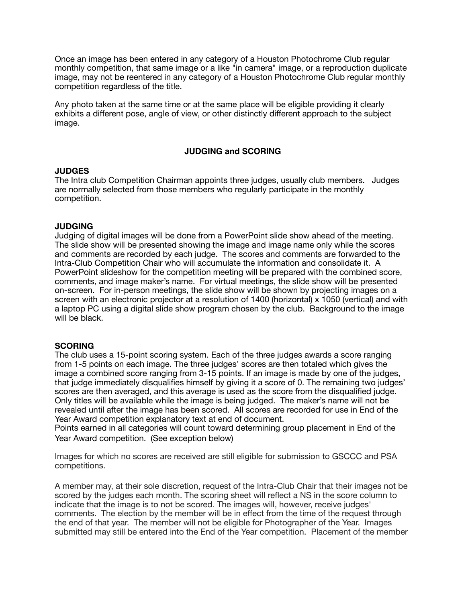Once an image has been entered in any category of a Houston Photochrome Club regular monthly competition, that same image or a like "in camera" image, or a reproduction duplicate image, may not be reentered in any category of a Houston Photochrome Club regular monthly competition regardless of the title.

Any photo taken at the same time or at the same place will be eligible providing it clearly exhibits a different pose, angle of view, or other distinctly different approach to the subject image.

### **JUDGING and SCORING**

### **JUDGES**

The Intra club Competition Chairman appoints three judges, usually club members. Judges are normally selected from those members who regularly participate in the monthly competition.

### **JUDGING**

Judging of digital images will be done from a PowerPoint slide show ahead of the meeting. The slide show will be presented showing the image and image name only while the scores and comments are recorded by each judge. The scores and comments are forwarded to the Intra-Club Competition Chair who will accumulate the information and consolidate it. A PowerPoint slideshow for the competition meeting will be prepared with the combined score, comments, and image maker's name. For virtual meetings, the slide show will be presented on-screen. For in-person meetings, the slide show will be shown by projecting images on a screen with an electronic projector at a resolution of 1400 (horizontal) x 1050 (vertical) and with a laptop PC using a digital slide show program chosen by the club. Background to the image will be black.

### **SCORING**

The club uses a 15-point scoring system. Each of the three judges awards a score ranging from 1-5 points on each image. The three judges' scores are then totaled which gives the image a combined score ranging from 3-15 points. If an image is made by one of the judges, that judge immediately disqualifies himself by giving it a score of 0. The remaining two judges' scores are then averaged, and this average is used as the score from the disqualified judge. Only titles will be available while the image is being judged. The maker's name will not be revealed until after the image has been scored. All scores are recorded for use in End of the Year Award competition explanatory text at end of document.

Points earned in all categories will count toward determining group placement in End of the Year Award competition. (See exception below)

Images for which no scores are received are still eligible for submission to GSCCC and PSA competitions.

A member may, at their sole discretion, request of the Intra-Club Chair that their images not be scored by the judges each month. The scoring sheet will reflect a NS in the score column to indicate that the image is to not be scored. The images will, however, receive judges' comments. The election by the member will be in effect from the time of the request through the end of that year. The member will not be eligible for Photographer of the Year. Images submitted may still be entered into the End of the Year competition. Placement of the member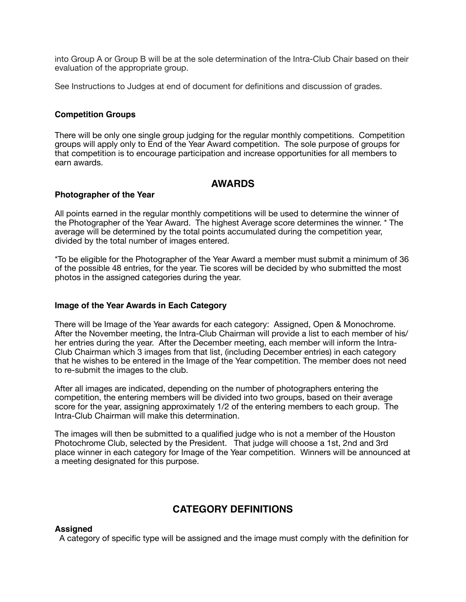into Group A or Group B will be at the sole determination of the Intra-Club Chair based on their evaluation of the appropriate group.

See Instructions to Judges at end of document for definitions and discussion of grades.

### **Competition Groups**

There will be only one single group judging for the regular monthly competitions. Competition groups will apply only to End of the Year Award competition. The sole purpose of groups for that competition is to encourage participation and increase opportunities for all members to earn awards.

# **AWARDS**

### **Photographer of the Year**

All points earned in the regular monthly competitions will be used to determine the winner of the Photographer of the Year Award. The highest Average score determines the winner. \* The average will be determined by the total points accumulated during the competition year, divided by the total number of images entered.

\*To be eligible for the Photographer of the Year Award a member must submit a minimum of 36 of the possible 48 entries, for the year. Tie scores will be decided by who submitted the most photos in the assigned categories during the year.

### **Image of the Year Awards in Each Category**

There will be Image of the Year awards for each category: Assigned, Open & Monochrome. After the November meeting, the Intra-Club Chairman will provide a list to each member of his/ her entries during the year. After the December meeting, each member will inform the Intra-Club Chairman which 3 images from that list, (including December entries) in each category that he wishes to be entered in the Image of the Year competition. The member does not need to re-submit the images to the club.

After all images are indicated, depending on the number of photographers entering the competition, the entering members will be divided into two groups, based on their average score for the year, assigning approximately 1/2 of the entering members to each group. The Intra-Club Chairman will make this determination.

The images will then be submitted to a qualified judge who is not a member of the Houston Photochrome Club, selected by the President. That judge will choose a 1st, 2nd and 3rd place winner in each category for Image of the Year competition. Winners will be announced at a meeting designated for this purpose.

# **CATEGORY DEFINITIONS**

# **Assigned**

A category of specific type will be assigned and the image must comply with the definition for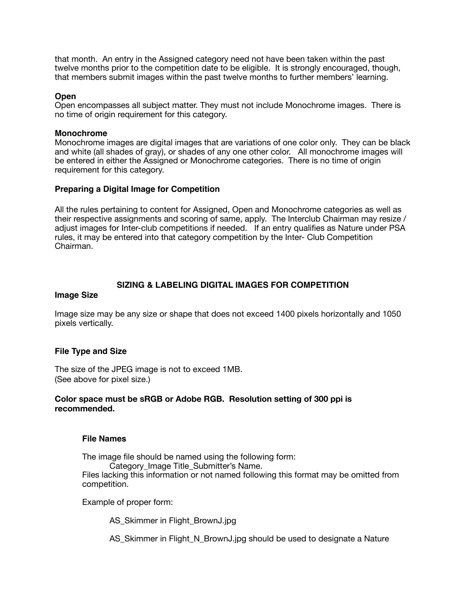that month. An entry in the Assigned category need not have been taken within the past twelve months prior to the competition date to be eligible. It is strongly encouraged, though, that members submit images within the past twelve months to further members' learning.

### **Open**

Open encompasses all subject matter. They must not include Monochrome images. There is no time of origin requirement for this category.

### **Monochrome**

Monochrome images are digital images that are variations of one color only. They can be black and white (all shades of gray), or shades of any one other color. All monochrome images will be entered in either the Assigned or Monochrome categories. There is no time of origin requirement for this category.

### **Preparing a Digital Image for Competition**

All the rules pertaining to content for Assigned, Open and Monochrome categories as well as their respective assignments and scoring of same, apply. The Interclub Chairman may resize / adjust images for Inter-club competitions if needed. If an entry qualifies as Nature under PSA rules, it may be entered into that category competition by the Inter- Club Competition Chairman.

# **SIZING & LABELING DIGITAL IMAGES FOR COMPETITION**

### **Image Size**

Image size may be any size or shape that does not exceed 1400 pixels horizontally and 1050 pixels vertically.

# **File Type and Size**

The size of the JPEG image is not to exceed 1MB. (See above for pixel size.)

### **Color space must be sRGB or Adobe RGB. Resolution setting of 300 ppi is recommended.**

### **File Names**

The image file should be named using the following form: Category Image Title Submitter's Name. Files lacking this information or not named following this format may be omitted from competition.

Example of proper form:

AS Skimmer in Flight BrownJ.jpg

AS\_Skimmer in Flight\_N\_BrownJ.jpg should be used to designate a Nature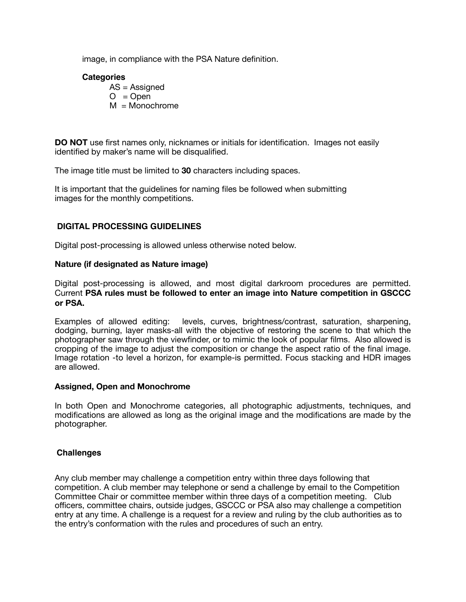image, in compliance with the PSA Nature definition.

### **Categories**

AS = Assigned  $O = Open$  $M = \text{Monochrome}$ 

**DO NOT** use first names only, nicknames or initials for identification. Images not easily identified by maker's name will be disqualified.

The image title must be limited to **30** characters including spaces.

It is important that the guidelines for naming files be followed when submitting images for the monthly competitions.

# **DIGITAL PROCESSING GUIDELINES**

Digital post-processing is allowed unless otherwise noted below.

### **Nature (if designated as Nature image)**

Digital post-processing is allowed, and most digital darkroom procedures are permitted. Current **PSA rules must be followed to enter an image into Nature competition in GSCCC or PSA.** 

Examples of allowed editing: levels, curves, brightness/contrast, saturation, sharpening, dodging, burning, layer masks-all with the objective of restoring the scene to that which the photographer saw through the viewfinder, or to mimic the look of popular films. Also allowed is cropping of the image to adjust the composition or change the aspect ratio of the final image. Image rotation -to level a horizon, for example-is permitted. Focus stacking and HDR images are allowed.

### **Assigned, Open and Monochrome**

In both Open and Monochrome categories, all photographic adjustments, techniques, and modifications are allowed as long as the original image and the modifications are made by the photographer.

### **Challenges**

Any club member may challenge a competition entry within three days following that competition. A club member may telephone or send a challenge by email to the Competition Committee Chair or committee member within three days of a competition meeting. Club officers, committee chairs, outside judges, GSCCC or PSA also may challenge a competition entry at any time. A challenge is a request for a review and ruling by the club authorities as to the entry's conformation with the rules and procedures of such an entry.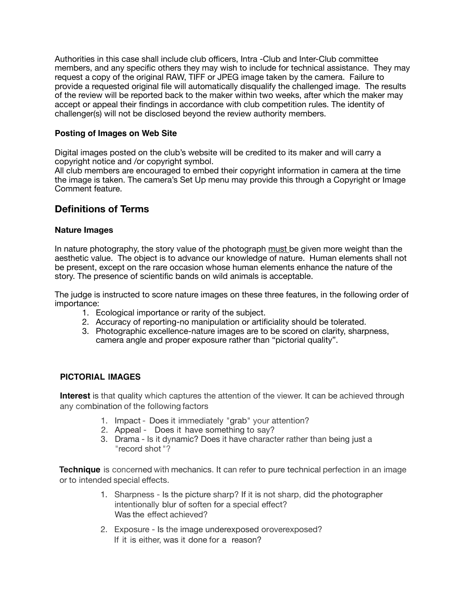Authorities in this case shall include club officers, Intra -Club and Inter-Club committee members, and any specific others they may wish to include for technical assistance. They may request a copy of the original RAW, TIFF or JPEG image taken by the camera. Failure to provide a requested original file will automatically disqualify the challenged image. The results of the review will be reported back to the maker within two weeks, after which the maker may accept or appeal their findings in accordance with club competition rules. The identity of challenger(s) will not be disclosed beyond the review authority members.

# **Posting of Images on Web Site**

Digital images posted on the club's website will be credited to its maker and will carry a copyright notice and /or copyright symbol.

All club members are encouraged to embed their copyright information in camera at the time the image is taken. The camera's Set Up menu may provide this through a Copyright or Image Comment feature.

# **Definitions of Terms**

### **Nature Images**

In nature photography, the story value of the photograph must be given more weight than the aesthetic value. The object is to advance our knowledge of nature. Human elements shall not be present, except on the rare occasion whose human elements enhance the nature of the story. The presence of scientific bands on wild animals is acceptable.

The judge is instructed to score nature images on these three features, in the following order of importance:

- 1. Ecological importance or rarity of the subject.
- 2. Accuracy of reporting-no manipulation or artificiality should be tolerated.
- 3. Photographic excellence-nature images are to be scored on clarity, sharpness, camera angle and proper exposure rather than "pictorial quality".

# **PICTORIAL IMAGES**

**Interest** is that quality which captures the attention of the viewer. It can be achieved through any combination of the following factors

- 1. Impact Does it immediately "grab" your attention?
- 2. Appeal Does it have something to say?
- 3. Drama Is it dynamic? Does it have character rather than being just a "record shot "?

**Technique** is concerned with mechanics. It can refer to pure technical perfection in an image or to intended special effects.

- 1. Sharpness Is the picture sharp? If it is not sharp, did the photographer intentionally blur of soften for a special effect? Was the effect achieved?
- 2. Exposure Is the image underexposed oroverexposed? If it is either, was it done for a reason?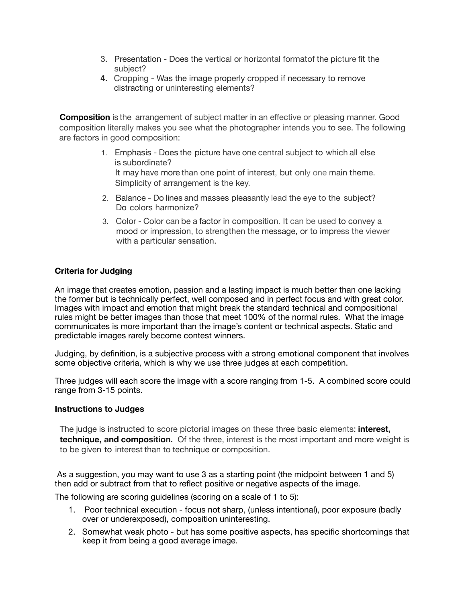- 3. Presentation Does the vertical or horizontal formatof the picture fit the subject?
- **4.** Cropping Was the image properly cropped if necessary to remove distracting or uninteresting elements?

**Composition** is the arrangement of subject matter in an effective or pleasing manner. Good composition literally makes you see what the photographer intends you to see. The following are factors in good composition:

- 1. Emphasis Does the picture have one central subject to which all else is subordinate? It may have more than one point of interest, but only one main theme. Simplicity of arrangement is the key.
- 2. Balance Do lines and masses pleasantly lead the eye to the subject? Do colors harmonize?
- 3. Color Color can be a factor in composition. It can be used to convey a mood or impression, to strengthen the message, or to impress the viewer with a particular sensation.

# **Criteria for Judging**

An image that creates emotion, passion and a lasting impact is much better than one lacking the former but is technically perfect, well composed and in perfect focus and with great color. Images with impact and emotion that might break the standard technical and compositional rules might be better images than those that meet 100% of the normal rules. What the image communicates is more important than the image's content or technical aspects. Static and predictable images rarely become contest winners.

Judging, by definition, is a subjective process with a strong emotional component that involves some objective criteria, which is why we use three judges at each competition.

Three judges will each score the image with a score ranging from 1-5. A combined score could range from 3-15 points.

# **Instructions to Judges**

The judge is instructed to score pictorial images on these three basic elements: **interest, technique, and composition.** Of the three, interest is the most important and more weight is to be given to interest than to technique or composition.

As a suggestion, you may want to use 3 as a starting point (the midpoint between 1 and 5) then add or subtract from that to reflect positive or negative aspects of the image.

The following are scoring guidelines (scoring on a scale of 1 to 5):

- 1. Poor technical execution focus not sharp, (unless intentional), poor exposure (badly over or underexposed), composition uninteresting.
- 2. Somewhat weak photo but has some positive aspects, has specific shortcomings that keep it from being a good average image.